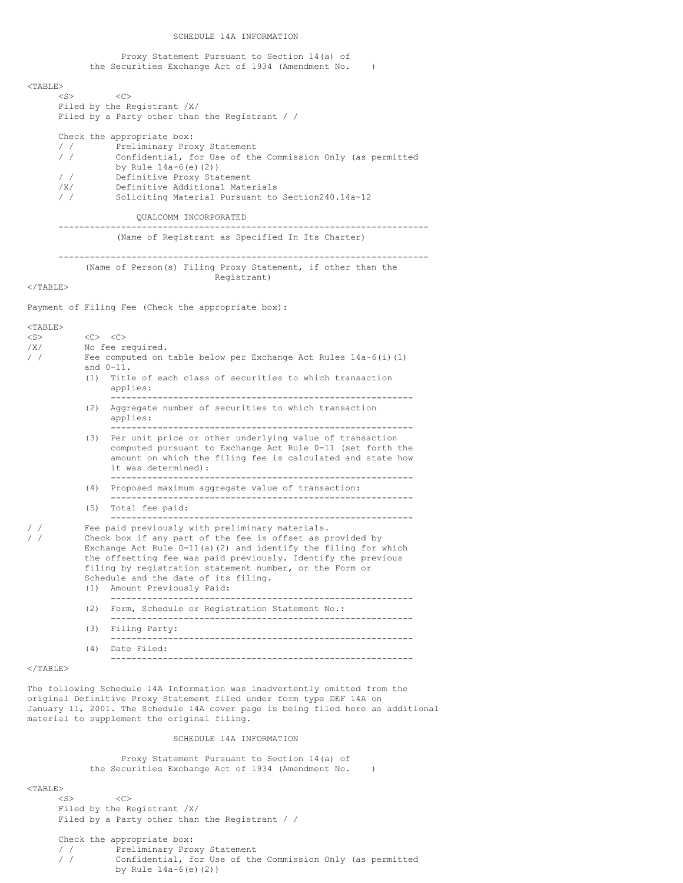SCHEDULE 14A INFORMATION

Proxy Statement Pursuant to Section 14(a) of the Securities Exchange Act of 1934 (Amendment No. )

### $<$ TABLE>

 $\langle$ S>  $\langle$ C> Filed by the Registrant /X/ Filed by a Party other than the Registrant / /

|               | Check the appropriate box:                                 |  |  |
|---------------|------------------------------------------------------------|--|--|
| $\frac{1}{2}$ | Preliminary Proxy Statement                                |  |  |
| $\frac{1}{2}$ | Confidential, for Use of the Commission Only (as permitted |  |  |
|               | by Rule $14a-6(e)$ (2))                                    |  |  |
| $\prime$      | Definitive Proxy Statement                                 |  |  |
| /x/           | Definitive Additional Materials                            |  |  |
|               | Soliciting Material Pursuant to Section240.14a-12          |  |  |
|               |                                                            |  |  |

## QUALCOMM INCORPORATED

----------------------------------------------------------------------- (Name of Registrant as Specified In Its Charter)

### ----------------------------------------------------------------------- (Name of Person(s) Filing Proxy Statement, if other than the Registrant)

 $<$ /TABLE>

Payment of Filing Fee (Check the appropriate box):

## <TABLE> <S> <C> <C> No fee required. / / Fee computed on table below per Exchange Act Rules 14a-6(i)(1) and 0-11. (1) Title of each class of securities to which transaction applies: ---------------------------------------------------------- (2) Aggregate number of securities to which transaction applies: ---------------------------------------------------------- (3) Per unit price or other underlying value of transaction computed pursuant to Exchange Act Rule 0-11 (set forth the amount on which the filing fee is calculated and state how it was determined): ---------------------------------------------------------- (4) Proposed maximum aggregate value of transaction: ---------------------------------------------------------- (5) Total fee paid: ---------------------------------------------------------- / / Fee paid previously with preliminary materials.<br>/ / Check box if any part of the fee is offset as pi Check box if any part of the fee is offset as provided by Exchange Act Rule 0-11(a)(2) and identify the filing for which the offsetting fee was paid previously. Identify the previous filing by registration statement number, or the Form or Schedule and the date of its filing. (1) Amount Previously Paid: ---------------------------------------------------------- (2) Form, Schedule or Registration Statement No.: ---------------------------------------------------------- (3) Filing Party: ---------------------------------------------------------- (4) Date Filed:

# $<$ /TABLE>

The following Schedule 14A Information was inadvertently omitted from the original Definitive Proxy Statement filed under form type DEF 14A on January 11, 2001. The Schedule 14A cover page is being filed here as additional material to supplement the original filing.

----------------------------------------------------------

SCHEDULE 14A INFORMATION

Proxy Statement Pursuant to Section 14(a) of the Securities Exchange Act of 1934 (Amendment No. )

### $<$ TABLE>

 $\langle$ S>  $\langle$ C> Filed by the Registrant /X/ Filed by a Party other than the Registrant / /

Check the appropriate box: / / Preliminary Proxy Statement<br>/ / Confidential, for Use of the Confidential, for Use of the Commission Only (as permitted by Rule 14a-6(e)(2))